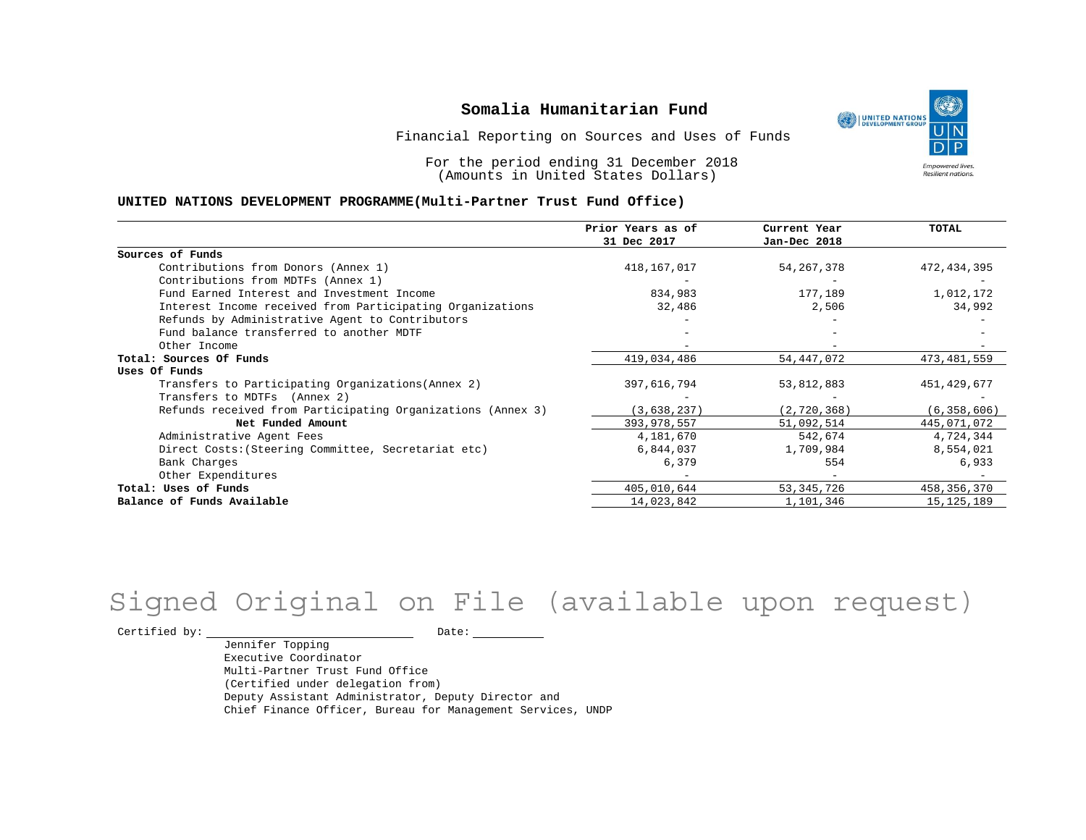UNITED NATIONS **Empowered lives** Resilient nations.

Financial Reporting on Sources and Uses of Funds

For the period ending 31 December 2018 (Amounts in United States Dollars)

#### **UNITED NATIONS DEVELOPMENT PROGRAMME(Multi-Partner Trust Fund Office)**

|                                                             | Prior Years as of | Current Year  | <b>TOTAL</b>  |
|-------------------------------------------------------------|-------------------|---------------|---------------|
|                                                             | 31 Dec 2017       | Jan-Dec 2018  |               |
| Sources of Funds                                            |                   |               |               |
| Contributions from Donors (Annex 1)                         | 418,167,017       | 54, 267, 378  | 472,434,395   |
| Contributions from MDTFs (Annex 1)                          |                   |               |               |
| Fund Earned Interest and Investment Income                  | 834,983           | 177,189       | 1,012,172     |
| Interest Income received from Participating Organizations   | 32,486            | 2,506         | 34,992        |
| Refunds by Administrative Agent to Contributors             |                   |               |               |
| Fund balance transferred to another MDTF                    |                   |               |               |
| Other Income                                                |                   |               |               |
| Total: Sources Of Funds                                     | 419,034,486       | 54, 447, 072  | 473, 481, 559 |
| Uses Of Funds                                               |                   |               |               |
| Transfers to Participating Organizations (Annex 2)          | 397,616,794       | 53,812,883    | 451,429,677   |
| Transfers to MDTFs (Annex 2)                                |                   |               |               |
| Refunds received from Participating Organizations (Annex 3) | (3,638,237)       | (2, 720, 368) | (6, 358, 606) |
| Net Funded Amount                                           | 393,978,557       | 51,092,514    | 445,071,072   |
| Administrative Agent Fees                                   | 4,181,670         | 542,674       | 4,724,344     |
| Direct Costs: (Steering Committee, Secretariat etc)         | 6,844,037         | 1,709,984     | 8,554,021     |
| Bank Charges                                                | 6,379             | 554           | 6,933         |
| Other Expenditures                                          |                   |               |               |
| Total: Uses of Funds                                        | 405,010,644       | 53, 345, 726  | 458,356,370   |
| Balance of Funds Available                                  | 14,023,842        | 1,101,346     | 15, 125, 189  |

# Signed Original on File (available upon request)

Certified by: Date:

Jennifer Topping Executive Coordinator Multi-Partner Trust Fund Office (Certified under delegation from) Deputy Assistant Administrator, Deputy Director and Chief Finance Officer, Bureau for Management Services, UNDP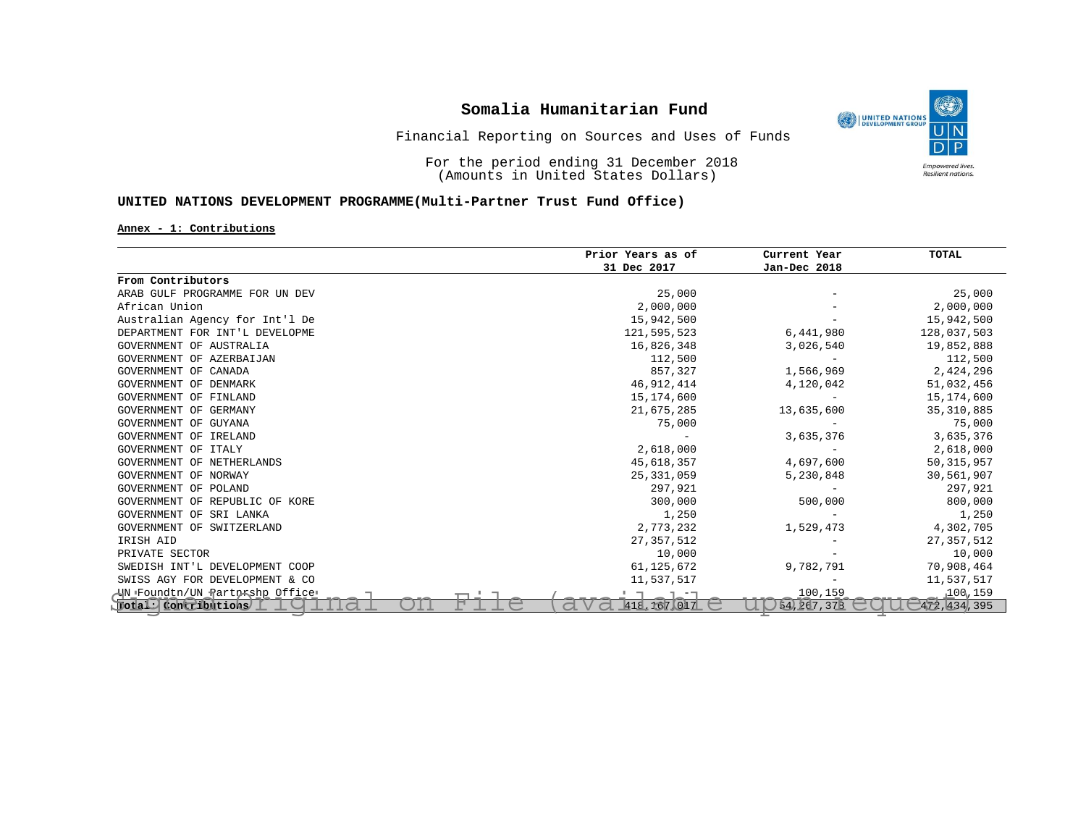

Financial Reporting on Sources and Uses of Funds

For the period ending 31 December 2018 (Amounts in United States Dollars)

### **UNITED NATIONS DEVELOPMENT PROGRAMME(Multi-Partner Trust Fund Office)**

#### **Annex - 1: Contributions**

|                                | Prior Years as of | Current Year | <b>TOTAL</b>  |
|--------------------------------|-------------------|--------------|---------------|
|                                | 31 Dec 2017       | Jan-Dec 2018 |               |
| From Contributors              |                   |              |               |
| ARAB GULF PROGRAMME FOR UN DEV | 25,000            |              | 25,000        |
| African Union                  | 2,000,000         |              | 2,000,000     |
| Australian Agency for Int'l De | 15,942,500        |              | 15,942,500    |
| DEPARTMENT FOR INT'L DEVELOPME | 121,595,523       | 6,441,980    | 128,037,503   |
| GOVERNMENT OF AUSTRALIA        | 16,826,348        | 3,026,540    | 19,852,888    |
| GOVERNMENT OF AZERBAIJAN       | 112,500           |              | 112,500       |
| GOVERNMENT OF CANADA           | 857,327           | 1,566,969    | 2,424,296     |
| GOVERNMENT OF DENMARK          | 46, 912, 414      | 4,120,042    | 51,032,456    |
| GOVERNMENT OF FINLAND          | 15, 174, 600      |              | 15,174,600    |
| GOVERNMENT OF GERMANY          | 21,675,285        | 13,635,600   | 35, 310, 885  |
| GOVERNMENT OF GUYANA           | 75,000            |              | 75,000        |
| GOVERNMENT OF IRELAND          |                   | 3,635,376    | 3,635,376     |
| GOVERNMENT OF ITALY            | 2,618,000         |              | 2,618,000     |
| GOVERNMENT OF NETHERLANDS      | 45,618,357        | 4,697,600    | 50, 315, 957  |
| GOVERNMENT OF NORWAY           | 25, 331, 059      | 5,230,848    | 30,561,907    |
| GOVERNMENT OF POLAND           | 297,921           |              | 297,921       |
| GOVERNMENT OF REPUBLIC OF KORE | 300,000           | 500,000      | 800,000       |
| GOVERNMENT OF SRI LANKA        | 1,250             |              | 1,250         |
| GOVERNMENT OF SWITZERLAND      | 2,773,232         | 1,529,473    | 4,302,705     |
| IRISH AID                      | 27, 357, 512      |              | 27, 357, 512  |
| PRIVATE SECTOR                 | 10,000            |              | 10,000        |
| SWEDISH INT'L DEVELOPMENT COOP | 61, 125, 672      | 9,782,791    | 70,908,464    |
| SWISS AGY FOR DEVELOPMENT & CO | 11,537,517        |              | 11,537,517    |
| UN Foundtn/UN Partn shp Office |                   | 100,159      | 100,159       |
| Dotal: Contributions           | 418.167.017       | 54, 267, 378 | 472, 434, 395 |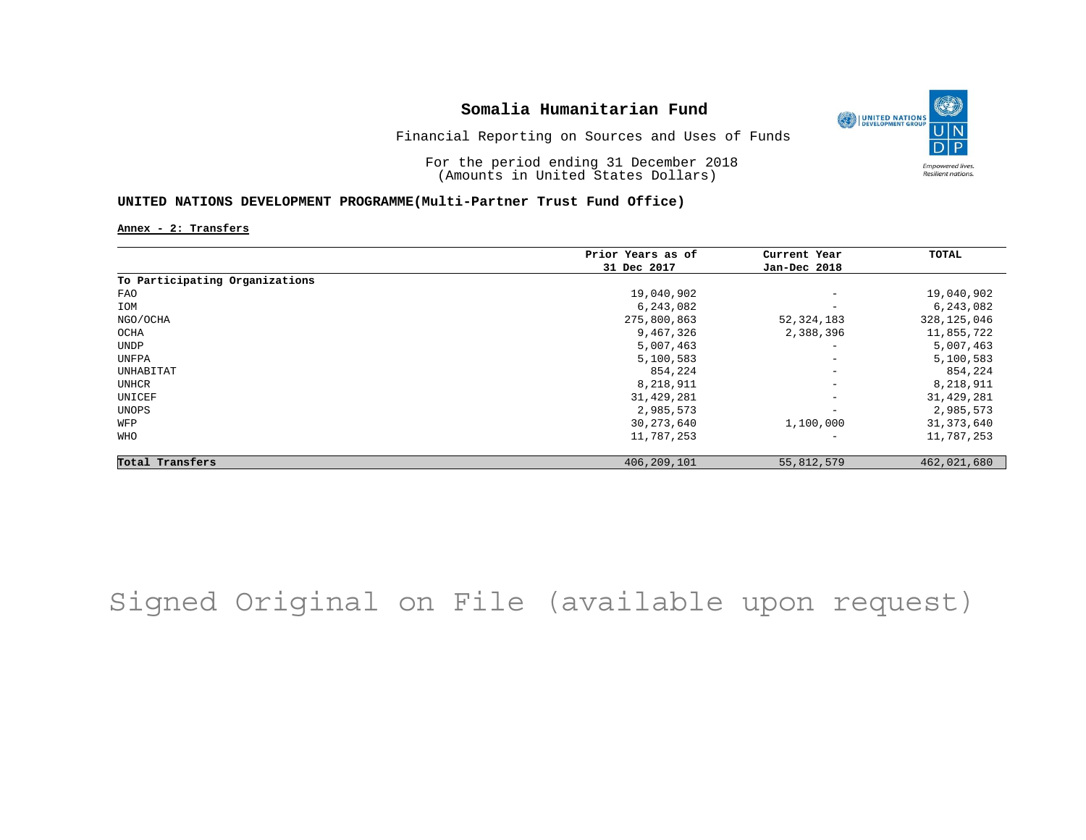

Financial Reporting on Sources and Uses of Funds

For the period ending 31 December 2018 (Amounts in United States Dollars)

### **UNITED NATIONS DEVELOPMENT PROGRAMME(Multi-Partner Trust Fund Office)**

**Annex - 2: Transfers**

|                                | Prior Years as of | Current Year             | TOTAL         |
|--------------------------------|-------------------|--------------------------|---------------|
|                                | 31 Dec 2017       | Jan-Dec 2018             |               |
| To Participating Organizations |                   |                          |               |
| FAO                            | 19,040,902        | $\overline{\phantom{a}}$ | 19,040,902    |
| IOM                            | 6,243,082         | $\overline{\phantom{a}}$ | 6,243,082     |
| NGO/OCHA                       | 275,800,863       | 52,324,183               | 328, 125, 046 |
| OCHA                           | 9,467,326         | 2,388,396                | 11,855,722    |
| UNDP                           | 5,007,463         | $\overline{\phantom{a}}$ | 5,007,463     |
| UNFPA                          | 5,100,583         | $\qquad \qquad -$        | 5,100,583     |
| UNHABITAT                      | 854,224           | $\overline{\phantom{m}}$ | 854,224       |
| UNHCR                          | 8,218,911         | $\overline{\phantom{m}}$ | 8,218,911     |
| UNICEF                         | 31, 429, 281      | $\qquad \qquad -$        | 31,429,281    |
| UNOPS                          | 2,985,573         | $\overline{\phantom{a}}$ | 2,985,573     |
| WFP                            | 30, 273, 640      | 1,100,000                | 31, 373, 640  |
| WHO                            | 11,787,253        | $\overline{\phantom{0}}$ | 11,787,253    |
| Total Transfers                | 406, 209, 101     | 55,812,579               | 462,021,680   |

# Signed Original on File (available upon request)